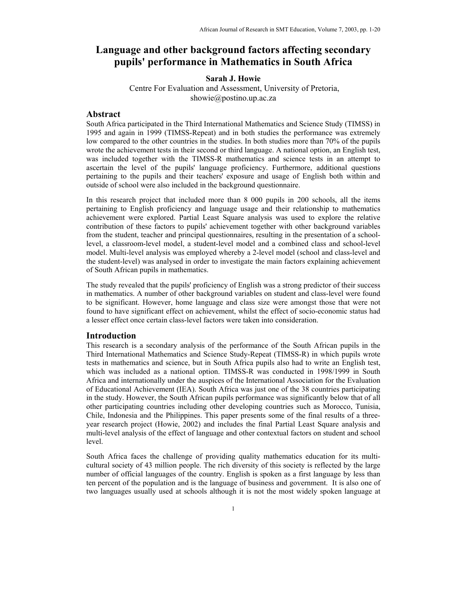# **Language and other background factors affecting secondary pupils' performance in Mathematics in South Africa**

# **Sarah J. Howie**

 Centre For Evaluation and Assessment, University of Pretoria, showie@postino.up.ac.za

# **Abstract**

South Africa participated in the Third International Mathematics and Science Study (TIMSS) in 1995 and again in 1999 (TIMSS-Repeat) and in both studies the performance was extremely low compared to the other countries in the studies. In both studies more than 70% of the pupils wrote the achievement tests in their second or third language. A national option, an English test, was included together with the TIMSS-R mathematics and science tests in an attempt to ascertain the level of the pupils' language proficiency. Furthermore, additional questions pertaining to the pupils and their teachers' exposure and usage of English both within and outside of school were also included in the background questionnaire.

In this research project that included more than 8 000 pupils in 200 schools, all the items pertaining to English proficiency and language usage and their relationship to mathematics achievement were explored. Partial Least Square analysis was used to explore the relative contribution of these factors to pupils' achievement together with other background variables from the student, teacher and principal questionnaires, resulting in the presentation of a schoollevel, a classroom-level model, a student-level model and a combined class and school-level model. Multi-level analysis was employed whereby a 2-level model (school and class-level and the student-level) was analysed in order to investigate the main factors explaining achievement of South African pupils in mathematics.

The study revealed that the pupils' proficiency of English was a strong predictor of their success in mathematics. A number of other background variables on student and class-level were found to be significant. However, home language and class size were amongst those that were not found to have significant effect on achievement, whilst the effect of socio-economic status had a lesser effect once certain class-level factors were taken into consideration.

#### **Introduction**

This research is a secondary analysis of the performance of the South African pupils in the Third International Mathematics and Science Study-Repeat (TIMSS-R) in which pupils wrote tests in mathematics and science, but in South Africa pupils also had to write an English test, which was included as a national option. TIMSS-R was conducted in 1998/1999 in South Africa and internationally under the auspices of the International Association for the Evaluation of Educational Achievement (IEA). South Africa was just one of the 38 countries participating in the study. However, the South African pupils performance was significantly below that of all other participating countries including other developing countries such as Morocco, Tunisia, Chile, Indonesia and the Philippines. This paper presents some of the final results of a threeyear research project (Howie, 2002) and includes the final Partial Least Square analysis and multi-level analysis of the effect of language and other contextual factors on student and school level.

South Africa faces the challenge of providing quality mathematics education for its multicultural society of 43 million people. The rich diversity of this society is reflected by the large number of official languages of the country. English is spoken as a first language by less than ten percent of the population and is the language of business and government. It is also one of two languages usually used at schools although it is not the most widely spoken language at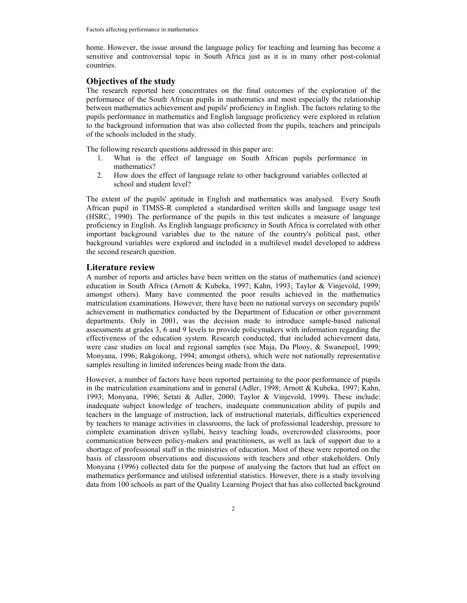home. However, the issue around the language policy for teaching and learning has become a sensitive and controversial topic in South Africa just as it is in many other post-colonial countries.

# **Objectives of the study**

The research reported here concentrates on the final outcomes of the exploration of the performance of the South African pupils in mathematics and most especially the relationship between mathematics achievement and pupils' proficiency in English. The factors relating to the pupils performance in mathematics and English language proficiency were explored in relation to the background information that was also collected from the pupils, teachers and principals of the schools included in the study.

The following research questions addressed in this paper are:

- 1. What is the effect of language on South African pupils performance in mathematics?
- 2. How does the effect of language relate to other background variables collected at school and student level?

The extent of the pupils' aptitude in English and mathematics was analysed. Every South African pupil in TIMSS-R completed a standardised written skills and language usage test (HSRC, 1990). The performance of the pupils in this test indicates a measure of language proficiency in English. As English language proficiency in South Africa is correlated with other important background variables due to the nature of the country's political past, other background variables were explored and included in a multilevel model developed to address the second research question.

### **Literature review**

A number of reports and articles have been written on the status of mathematics (and science) education in South Africa (Arnott & Kubeka, 1997; Kahn, 1993; Taylor & Vinjevold, 1999; amongst others). Many have commented the poor results achieved in the mathematics matriculation examinations. However, there have been no national surveys on secondary pupils' achievement in mathematics conducted by the Department of Education or other government departments. Only in 2001, was the decision made to introduce sample-based national assessments at grades 3, 6 and 9 levels to provide policymakers with information regarding the effectiveness of the education system. Research conducted, that included achievement data, were case studies on local and regional samples (see Maja, Du Plooy, & Swanepoel, 1999; Monyana, 1996; Rakgokong, 1994; amongst others), which were not nationally representative samples resulting in limited inferences being made from the data.

However, a number of factors have been reported pertaining to the poor performance of pupils in the matriculation examinations and in general (Adler, 1998; Arnott & Kubeka, 1997; Kahn, 1993; Monyana, 1996; Setati & Adler, 2000; Taylor & Vinjevold, 1999). These include: inadequate subject knowledge of teachers, inadequate communication ability of pupils and teachers in the language of instruction, lack of instructional materials, difficulties experienced by teachers to manage activities in classrooms, the lack of professional leadership, pressure to complete examination driven syllabi, heavy teaching loads, overcrowded classrooms, poor communication between policy-makers and practitioners, as well as lack of support due to a shortage of professional staff in the ministries of education. Most of these were reported on the basis of classroom observations and discussions with teachers and other stakeholders. Only Monyana (1996) collected data for the purpose of analysing the factors that had an effect on mathematics performance and utilised inferential statistics. However, there is a study involving data from 100 schools as part of the Quality Learning Project that has also collected background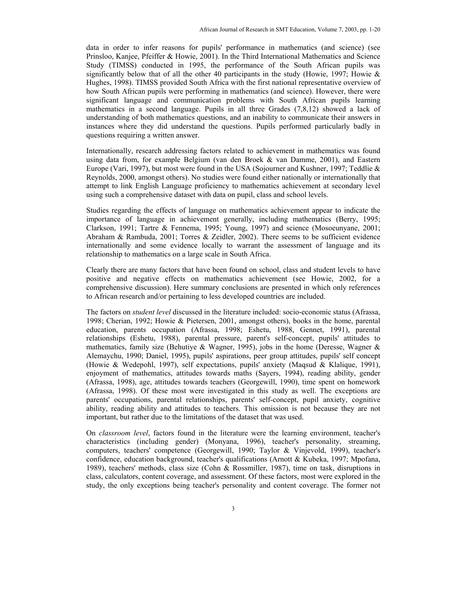data in order to infer reasons for pupils' performance in mathematics (and science) (see Prinsloo, Kanjee, Pfeiffer & Howie, 2001). In the Third International Mathematics and Science Study (TIMSS) conducted in 1995, the performance of the South African pupils was significantly below that of all the other 40 participants in the study (Howie, 1997; Howie  $\&$ Hughes, 1998). TIMSS provided South Africa with the first national representative overview of how South African pupils were performing in mathematics (and science). However, there were significant language and communication problems with South African pupils learning mathematics in a second language. Pupils in all three Grades (7,8,12) showed a lack of understanding of both mathematics questions, and an inability to communicate their answers in instances where they did understand the questions. Pupils performed particularly badly in questions requiring a written answer.

Internationally, research addressing factors related to achievement in mathematics was found using data from, for example Belgium (van den Broek & van Damme, 2001), and Eastern Europe (Vari, 1997), but most were found in the USA (Sojourner and Kushner, 1997; Teddlie & Reynolds, 2000, amongst others). No studies were found either nationally or internationally that attempt to link English Language proficiency to mathematics achievement at secondary level using such a comprehensive dataset with data on pupil, class and school levels.

Studies regarding the effects of language on mathematics achievement appear to indicate the importance of language in achievement generally, including mathematics (Berry, 1995; Clarkson, 1991; Tartre & Fennema, 1995; Young, 1997) and science (Mosoeunyane, 2001; Abraham & Rambuda, 2001; Torres & Zeidler, 2002). There seems to be sufficient evidence internationally and some evidence locally to warrant the assessment of language and its relationship to mathematics on a large scale in South Africa.

Clearly there are many factors that have been found on school, class and student levels to have positive and negative effects on mathematics achievement (see Howie, 2002, for a comprehensive discussion). Here summary conclusions are presented in which only references to African research and/or pertaining to less developed countries are included.

The factors on *student level* discussed in the literature included: socio-economic status (Afrassa, 1998; Cherian, 1992; Howie & Pietersen, 2001, amongst others), books in the home, parental education, parents occupation (Afrassa, 1998; Eshetu, 1988, Gennet, 1991), parental relationships (Eshetu, 1988), parental pressure, parent's self-concept, pupils' attitudes to mathematics, family size (Behutiye & Wagner, 1995), jobs in the home (Deresse, Wagner  $\&$ Alemaychu, 1990; Daniel, 1995), pupils' aspirations, peer group attitudes, pupils' self concept (Howie & Wedepohl, 1997), self expectations, pupils' anxiety (Maqsud & Klalique, 1991), enjoyment of mathematics, attitudes towards maths (Sayers, 1994), reading ability, gender (Afrassa, 1998), age, attitudes towards teachers (Georgewill, 1990), time spent on homework (Afrassa, 1998). Of these most were investigated in this study as well. The exceptions are parents' occupations, parental relationships, parents' self-concept, pupil anxiety, cognitive ability, reading ability and attitudes to teachers. This omission is not because they are not important, but rather due to the limitations of the dataset that was used.

On *classroom level*, factors found in the literature were the learning environment, teacher's characteristics (including gender) (Monyana, 1996), teacher's personality, streaming, computers, teachers' competence (Georgewill, 1990; Taylor & Vinjevold, 1999), teacher's confidence, education background, teacher's qualifications (Arnott & Kubeka, 1997; Mpofana, 1989), teachers' methods, class size (Cohn & Rossmiller, 1987), time on task, disruptions in class, calculators, content coverage, and assessment. Of these factors, most were explored in the study, the only exceptions being teacher's personality and content coverage. The former not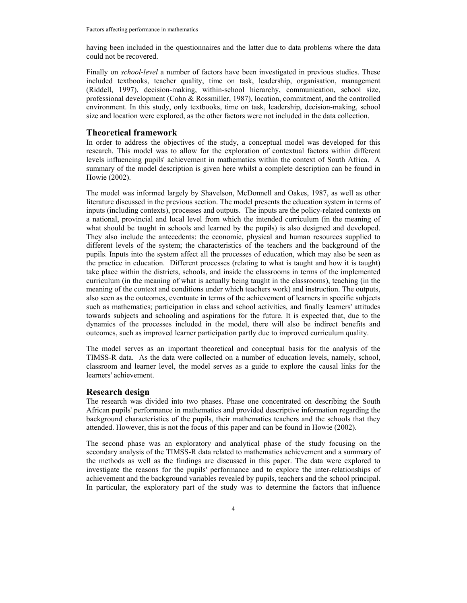having been included in the questionnaires and the latter due to data problems where the data could not be recovered.

Finally on *school-level* a number of factors have been investigated in previous studies. These included textbooks, teacher quality, time on task, leadership, organisation, management (Riddell, 1997), decision-making, within-school hierarchy, communication, school size, professional development (Cohn & Rossmiller, 1987), location, commitment, and the controlled environment. In this study, only textbooks, time on task, leadership, decision-making, school size and location were explored, as the other factors were not included in the data collection.

#### **Theoretical framework**

In order to address the objectives of the study, a conceptual model was developed for this research. This model was to allow for the exploration of contextual factors within different levels influencing pupils' achievement in mathematics within the context of South Africa. A summary of the model description is given here whilst a complete description can be found in Howie (2002).

The model was informed largely by Shavelson, McDonnell and Oakes, 1987, as well as other literature discussed in the previous section. The model presents the education system in terms of inputs (including contexts), processes and outputs. The inputs are the policy-related contexts on a national, provincial and local level from which the intended curriculum (in the meaning of what should be taught in schools and learned by the pupils) is also designed and developed. They also include the antecedents: the economic, physical and human resources supplied to different levels of the system; the characteristics of the teachers and the background of the pupils. Inputs into the system affect all the processes of education, which may also be seen as the practice in education. Different processes (relating to what is taught and how it is taught) take place within the districts, schools, and inside the classrooms in terms of the implemented curriculum (in the meaning of what is actually being taught in the classrooms), teaching (in the meaning of the context and conditions under which teachers work) and instruction. The outputs, also seen as the outcomes, eventuate in terms of the achievement of learners in specific subjects such as mathematics; participation in class and school activities, and finally learners' attitudes towards subjects and schooling and aspirations for the future. It is expected that, due to the dynamics of the processes included in the model, there will also be indirect benefits and outcomes, such as improved learner participation partly due to improved curriculum quality.

The model serves as an important theoretical and conceptual basis for the analysis of the TIMSS-R data. As the data were collected on a number of education levels, namely, school, classroom and learner level, the model serves as a guide to explore the causal links for the learners' achievement.

#### **Research design**

The research was divided into two phases. Phase one concentrated on describing the South African pupils' performance in mathematics and provided descriptive information regarding the background characteristics of the pupils, their mathematics teachers and the schools that they attended. However, this is not the focus of this paper and can be found in Howie (2002).

The second phase was an exploratory and analytical phase of the study focusing on the secondary analysis of the TIMSS-R data related to mathematics achievement and a summary of the methods as well as the findings are discussed in this paper. The data were explored to investigate the reasons for the pupils' performance and to explore the inter-relationships of achievement and the background variables revealed by pupils, teachers and the school principal. In particular, the exploratory part of the study was to determine the factors that influence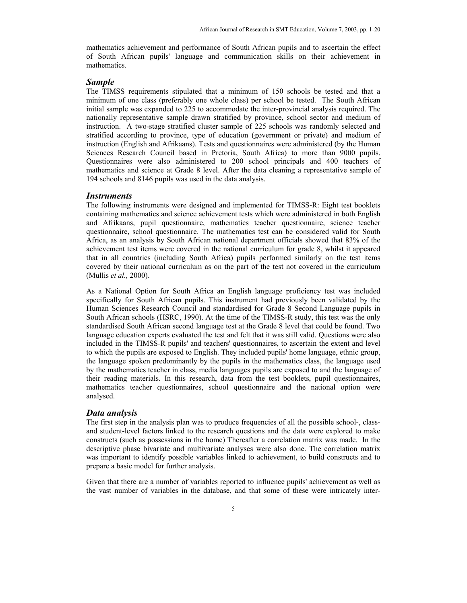mathematics achievement and performance of South African pupils and to ascertain the effect of South African pupils' language and communication skills on their achievement in mathematics.

#### *Sample*

The TIMSS requirements stipulated that a minimum of 150 schools be tested and that a minimum of one class (preferably one whole class) per school be tested. The South African initial sample was expanded to 225 to accommodate the inter-provincial analysis required. The nationally representative sample drawn stratified by province, school sector and medium of instruction. A two-stage stratified cluster sample of 225 schools was randomly selected and stratified according to province, type of education (government or private) and medium of instruction (English and Afrikaans). Tests and questionnaires were administered (by the Human Sciences Research Council based in Pretoria, South Africa) to more than 9000 pupils. Questionnaires were also administered to 200 school principals and 400 teachers of mathematics and science at Grade 8 level. After the data cleaning a representative sample of 194 schools and 8146 pupils was used in the data analysis.

#### *Instruments*

The following instruments were designed and implemented for TIMSS-R: Eight test booklets containing mathematics and science achievement tests which were administered in both English and Afrikaans, pupil questionnaire, mathematics teacher questionnaire, science teacher questionnaire, school questionnaire. The mathematics test can be considered valid for South Africa, as an analysis by South African national department officials showed that 83% of the achievement test items were covered in the national curriculum for grade 8, whilst it appeared that in all countries (including South Africa) pupils performed similarly on the test items covered by their national curriculum as on the part of the test not covered in the curriculum (Mullis *et al.,* 2000).

As a National Option for South Africa an English language proficiency test was included specifically for South African pupils. This instrument had previously been validated by the Human Sciences Research Council and standardised for Grade 8 Second Language pupils in South African schools (HSRC, 1990). At the time of the TIMSS-R study, this test was the only standardised South African second language test at the Grade 8 level that could be found. Two language education experts evaluated the test and felt that it was still valid. Questions were also included in the TIMSS-R pupils' and teachers' questionnaires, to ascertain the extent and level to which the pupils are exposed to English. They included pupils' home language, ethnic group, the language spoken predominantly by the pupils in the mathematics class, the language used by the mathematics teacher in class, media languages pupils are exposed to and the language of their reading materials. In this research, data from the test booklets, pupil questionnaires, mathematics teacher questionnaires, school questionnaire and the national option were analysed.

#### *Data analysis*

The first step in the analysis plan was to produce frequencies of all the possible school-, classand student-level factors linked to the research questions and the data were explored to make constructs (such as possessions in the home) Thereafter a correlation matrix was made. In the descriptive phase bivariate and multivariate analyses were also done. The correlation matrix was important to identify possible variables linked to achievement, to build constructs and to prepare a basic model for further analysis.

Given that there are a number of variables reported to influence pupils' achievement as well as the vast number of variables in the database, and that some of these were intricately inter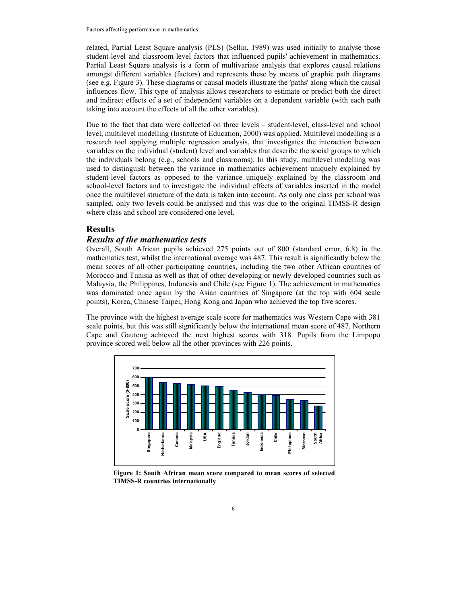related, Partial Least Square analysis (PLS) (Sellin, 1989) was used initially to analyse those student-level and classroom-level factors that influenced pupils' achievement in mathematics. Partial Least Square analysis is a form of multivariate analysis that explores causal relations amongst different variables (factors) and represents these by means of graphic path diagrams (see e.g. Figure 3). These diagrams or causal models illustrate the 'paths' along which the causal influences flow. This type of analysis allows researchers to estimate or predict both the direct and indirect effects of a set of independent variables on a dependent variable (with each path taking into account the effects of all the other variables).

Due to the fact that data were collected on three levels – student-level, class-level and school level, multilevel modelling (Institute of Education, 2000) was applied. Multilevel modelling is a research tool applying multiple regression analysis, that investigates the interaction between variables on the individual (student) level and variables that describe the social groups to which the individuals belong (e.g., schools and classrooms). In this study, multilevel modelling was used to distinguish between the variance in mathematics achievement uniquely explained by student-level factors as opposed to the variance uniquely explained by the classroom and school-level factors and to investigate the individual effects of variables inserted in the model once the multilevel structure of the data is taken into account. As only one class per school was sampled, only two levels could be analysed and this was due to the original TIMSS-R design where class and school are considered one level.

#### **Results**

#### *Results of the mathematics tests*

Overall, South African pupils achieved 275 points out of 800 (standard error, 6.8) in the mathematics test, whilst the international average was 487. This result is significantly below the mean scores of all other participating countries, including the two other African countries of Morocco and Tunisia as well as that of other developing or newly developed countries such as Malaysia, the Philippines, Indonesia and Chile (see Figure 1). The achievement in mathematics was dominated once again by the Asian countries of Singapore (at the top with 604 scale points), Korea, Chinese Taipei, Hong Kong and Japan who achieved the top five scores.

The province with the highest average scale score for mathematics was Western Cape with 381 scale points, but this was still significantly below the international mean score of 487. Northern Cape and Gauteng achieved the next highest scores with 318. Pupils from the Limpopo province scored well below all the other provinces with 226 points.



**Figure 1: South African mean score compared to mean scores of selected TIMSS-R countries internationally**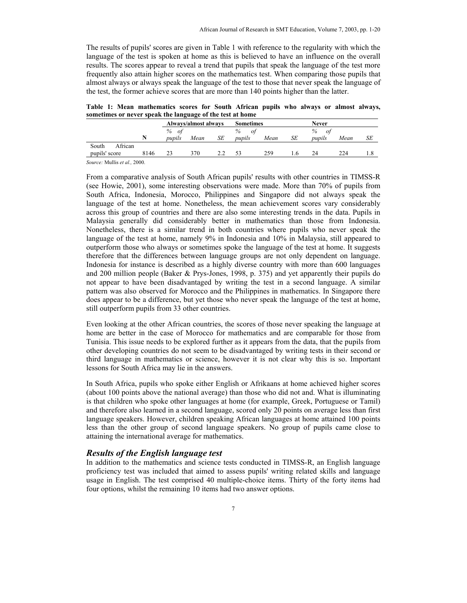The results of pupils' scores are given in Table 1 with reference to the regularity with which the language of the test is spoken at home as this is believed to have an influence on the overall results. The scores appear to reveal a trend that pupils that speak the language of the test more frequently also attain higher scores on the mathematics test. When comparing those pupils that almost always or always speak the language of the test to those that never speak the language of the test, the former achieve scores that are more than 140 points higher than the latter.

**Table 1: Mean mathematics scores for South African pupils who always or almost always, sometimes or never speak the language of the test at home** 

|                  |      | Always/almost always |      |    | <b>Sometimes</b> |      |     | <b>Never</b> |      |    |
|------------------|------|----------------------|------|----|------------------|------|-----|--------------|------|----|
|                  |      | % of                 |      |    | $\%$<br>- of     |      |     | % of         |      |    |
|                  |      | pupils               | Mean | SЕ | pupils           | Mean | SE  | pupils       | Mean | SЕ |
| African<br>South |      |                      |      |    |                  |      |     |              |      |    |
| pupils' score    | 8146 | 23                   | 370  |    | 53               | 259  | ' ሰ | 24           | 224  |    |

*Source:* Mullis *et al.,* 2000.

From a comparative analysis of South African pupils' results with other countries in TIMSS-R (see Howie, 2001), some interesting observations were made. More than 70% of pupils from South Africa, Indonesia, Morocco, Philippines and Singapore did not always speak the language of the test at home. Nonetheless, the mean achievement scores vary considerably across this group of countries and there are also some interesting trends in the data. Pupils in Malaysia generally did considerably better in mathematics than those from Indonesia. Nonetheless, there is a similar trend in both countries where pupils who never speak the language of the test at home, namely 9% in Indonesia and 10% in Malaysia, still appeared to outperform those who always or sometimes spoke the language of the test at home. It suggests therefore that the differences between language groups are not only dependent on language. Indonesia for instance is described as a highly diverse country with more than 600 languages and 200 million people (Baker & Prys-Jones, 1998, p. 375) and yet apparently their pupils do not appear to have been disadvantaged by writing the test in a second language. A similar pattern was also observed for Morocco and the Philippines in mathematics. In Singapore there does appear to be a difference, but yet those who never speak the language of the test at home, still outperform pupils from 33 other countries.

Even looking at the other African countries, the scores of those never speaking the language at home are better in the case of Morocco for mathematics and are comparable for those from Tunisia. This issue needs to be explored further as it appears from the data, that the pupils from other developing countries do not seem to be disadvantaged by writing tests in their second or third language in mathematics or science, however it is not clear why this is so. Important lessons for South Africa may lie in the answers.

In South Africa, pupils who spoke either English or Afrikaans at home achieved higher scores (about 100 points above the national average) than those who did not and. What is illuminating is that children who spoke other languages at home (for example, Greek, Portuguese or Tamil) and therefore also learned in a second language, scored only 20 points on average less than first language speakers. However, children speaking African languages at home attained 100 points less than the other group of second language speakers. No group of pupils came close to attaining the international average for mathematics.

# *Results of the English language test*

In addition to the mathematics and science tests conducted in TIMSS-R, an English language proficiency test was included that aimed to assess pupils' writing related skills and language usage in English. The test comprised 40 multiple-choice items. Thirty of the forty items had four options, whilst the remaining 10 items had two answer options.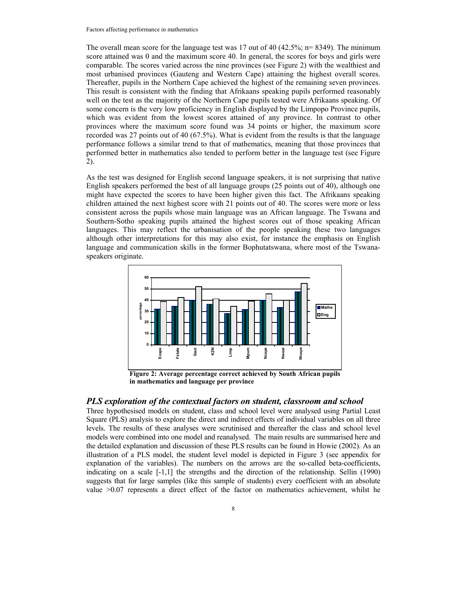The overall mean score for the language test was 17 out of 40 (42.5%; n= 8349). The minimum score attained was 0 and the maximum score 40. In general, the scores for boys and girls were comparable. The scores varied across the nine provinces (see Figure 2) with the wealthiest and most urbanised provinces (Gauteng and Western Cape) attaining the highest overall scores. Thereafter, pupils in the Northern Cape achieved the highest of the remaining seven provinces. This result is consistent with the finding that Afrikaans speaking pupils performed reasonably well on the test as the majority of the Northern Cape pupils tested were Afrikaans speaking. Of some concern is the very low proficiency in English displayed by the Limpopo Province pupils, which was evident from the lowest scores attained of any province. In contrast to other provinces where the maximum score found was 34 points or higher, the maximum score recorded was 27 points out of 40 (67.5%). What is evident from the results is that the language performance follows a similar trend to that of mathematics, meaning that those provinces that performed better in mathematics also tended to perform better in the language test (see Figure 2).

As the test was designed for English second language speakers, it is not surprising that native English speakers performed the best of all language groups (25 points out of 40), although one might have expected the scores to have been higher given this fact. The Afrikaans speaking children attained the next highest score with 21 points out of 40. The scores were more or less consistent across the pupils whose main language was an African language. The Tswana and Southern-Sotho speaking pupils attained the highest scores out of those speaking African languages. This may reflect the urbanisation of the people speaking these two languages although other interpretations for this may also exist, for instance the emphasis on English language and communication skills in the former Bophutatswana, where most of the Tswanaspeakers originate.



**Figure 2: Average percentage correct achieved by South African pupils in mathematics and language per province**

#### *PLS exploration of the contextual factors on student, classroom and school*

Three hypothesised models on student, class and school level were analysed using Partial Least Square (PLS) analysis to explore the direct and indirect effects of individual variables on all three levels. The results of these analyses were scrutinised and thereafter the class and school level models were combined into one model and reanalysed. The main results are summarised here and the detailed explanation and discussion of these PLS results can be found in Howie (2002). As an illustration of a PLS model, the student level model is depicted in Figure 3 (see appendix for explanation of the variables). The numbers on the arrows are the so-called beta-coefficients, indicating on a scale [-1,1] the strengths and the direction of the relationship. Sellin (1990) suggests that for large samples (like this sample of students) every coefficient with an absolute value >0.07 represents a direct effect of the factor on mathematics achievement, whilst he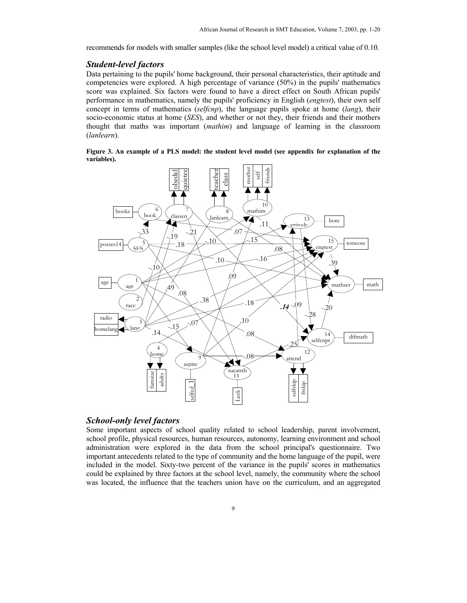recommends for models with smaller samples (like the school level model) a critical value of 0.10.

# *Student-level factors*

Data pertaining to the pupils' home background, their personal characteristics, their aptitude and competencies were explored. A high percentage of variance (50%) in the pupils' mathematics score was explained. Six factors were found to have a direct effect on South African pupils' performance in mathematics, namely the pupils' proficiency in English (*engtest*), their own self concept in terms of mathematics (*selfcnp*), the language pupils spoke at home (*lang*), their socio-economic status at home (*SES*), and whether or not they, their friends and their mothers thought that maths was important (*mathim*) and language of learning in the classroom (*lanlearn*).

#### **Figure 3. An example of a PLS model: the student level model (see appendix for explanation of the variables).**



#### *School-only level factors*

Some important aspects of school quality related to school leadership, parent involvement, school profile, physical resources, human resources, autonomy, learning environment and school administration were explored in the data from the school principal's questionnaire. Two important antecedents related to the type of community and the home language of the pupil, were included in the model. Sixty-two percent of the variance in the pupils' scores in mathematics could be explained by three factors at the school level, namely, the community where the school was located, the influence that the teachers union have on the curriculum, and an aggregated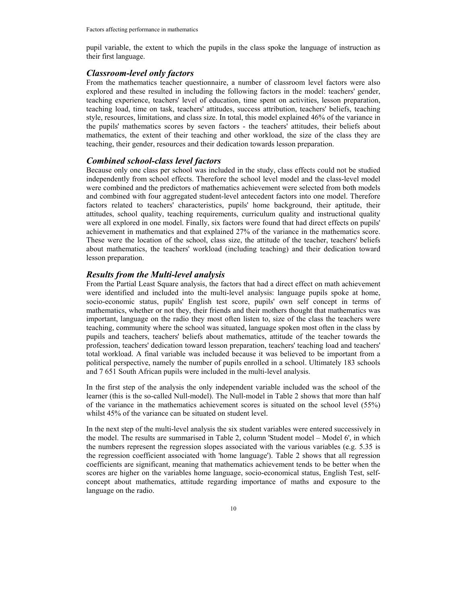pupil variable, the extent to which the pupils in the class spoke the language of instruction as their first language.

# *Classroom-level only factors*

From the mathematics teacher questionnaire, a number of classroom level factors were also explored and these resulted in including the following factors in the model: teachers' gender, teaching experience, teachers' level of education, time spent on activities, lesson preparation, teaching load, time on task, teachers' attitudes, success attribution, teachers' beliefs, teaching style, resources, limitations, and class size. In total, this model explained 46% of the variance in the pupils' mathematics scores by seven factors - the teachers' attitudes, their beliefs about mathematics, the extent of their teaching and other workload, the size of the class they are teaching, their gender, resources and their dedication towards lesson preparation.

# *Combined school-class level factors*

Because only one class per school was included in the study, class effects could not be studied independently from school effects. Therefore the school level model and the class-level model were combined and the predictors of mathematics achievement were selected from both models and combined with four aggregated student-level antecedent factors into one model. Therefore factors related to teachers' characteristics, pupils' home background, their aptitude, their attitudes, school quality, teaching requirements, curriculum quality and instructional quality were all explored in one model. Finally, six factors were found that had direct effects on pupils' achievement in mathematics and that explained 27% of the variance in the mathematics score. These were the location of the school, class size, the attitude of the teacher, teachers' beliefs about mathematics, the teachers' workload (including teaching) and their dedication toward lesson preparation.

#### *Results from the Multi-level analysis*

From the Partial Least Square analysis, the factors that had a direct effect on math achievement were identified and included into the multi-level analysis: language pupils spoke at home, socio-economic status, pupils' English test score, pupils' own self concept in terms of mathematics, whether or not they, their friends and their mothers thought that mathematics was important, language on the radio they most often listen to, size of the class the teachers were teaching, community where the school was situated, language spoken most often in the class by pupils and teachers, teachers' beliefs about mathematics, attitude of the teacher towards the profession, teachers' dedication toward lesson preparation, teachers' teaching load and teachers' total workload. A final variable was included because it was believed to be important from a political perspective, namely the number of pupils enrolled in a school. Ultimately 183 schools and 7 651 South African pupils were included in the multi-level analysis.

In the first step of the analysis the only independent variable included was the school of the learner (this is the so-called Null-model). The Null-model in Table 2 shows that more than half of the variance in the mathematics achievement scores is situated on the school level (55%) whilst 45% of the variance can be situated on student level.

In the next step of the multi-level analysis the six student variables were entered successively in the model. The results are summarised in Table 2, column 'Student model  $-$  Model 6', in which the numbers represent the regression slopes associated with the various variables (e.g. 5.35 is the regression coefficient associated with 'home language'). Table 2 shows that all regression coefficients are significant, meaning that mathematics achievement tends to be better when the scores are higher on the variables home language, socio-economical status, English Test, selfconcept about mathematics, attitude regarding importance of maths and exposure to the language on the radio.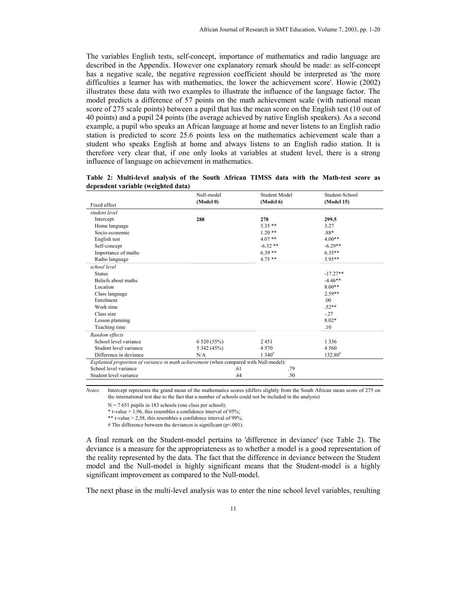The variables English tests, self-concept, importance of mathematics and radio language are described in the Appendix. However one explanatory remark should be made: as self-concept has a negative scale, the negative regression coefficient should be interpreted as 'the more difficulties a learner has with mathematics, the lower the achievement score'. Howie (2002) illustrates these data with two examples to illustrate the influence of the language factor. The model predicts a difference of 57 points on the math achievement scale (with national mean score of 275 scale points) between a pupil that has the mean score on the English test (10 out of 40 points) and a pupil 24 points (the average achieved by native English speakers). As a second example, a pupil who speaks an African language at home and never listens to an English radio station is predicted to score 25.6 points less on the mathematics achievement scale than a student who speaks English at home and always listens to an English radio station. It is therefore very clear that, if one only looks at variables at student level, there is a strong influence of language on achievement in mathematics.

|                     | Null-model | <b>Student Model</b> | Student-School |
|---------------------|------------|----------------------|----------------|
| Fixed effect        | (Model 0)  | (Model 6)            | (Model 15)     |
| student level       |            |                      |                |
| Intercept           | 288        | 278                  | 299.5          |
| Home language       |            | $5.35**$             | 3.27           |
| Socio-economic      |            | $1.20**$             | $.88*$         |
| English test        |            | $4.07**$             | $4.00**$       |
| Self-concept        |            | $-6.32**$            | $-6.29**$      |
| Importance of maths |            | $6.39**$             | $6.35**$       |
| Radio language      |            | $4.75**$             | $3.95**$       |
| school level        |            |                      |                |
| <b>Status</b>       |            |                      | $-17.27**$     |
| Beliefs about maths |            |                      | $-4.46**$      |
| Location            |            |                      | $8.00**$       |
| Class language      |            |                      | $2.59**$       |
| Enrolment           |            |                      | .00.           |
| Work time           |            |                      | $.52**$        |
| Class size          |            |                      | $-27$          |
| Lesson planning     |            |                      | $8.02*$        |
| Teaching time       |            |                      | .10            |
| Random effects      |            |                      |                |

|  | Table 2: Multi-level analysis of the South African TIMSS data with the Math-test score as |  |  |  |  |  |  |
|--|-------------------------------------------------------------------------------------------|--|--|--|--|--|--|
|  | dependent variable (weighted data)                                                        |  |  |  |  |  |  |

*Notes*: Intercept represents the grand mean of the mathematics scores (differs slightly from the South African mean score of 275 on the international test due to the fact that a number of schools could not be included in the analysis)

132.80#

School level variance  $6 520 (55%)$   $2 451$  1 336<br>Student level variance  $5 342 (45%)$   $4 570$   $4 560$ 

 $N = 7651$  pupils in 183 schools (one class per school);

Student level variance

 $*$  t-value > 1,96, this resembles a confidence interval of 95%;

\*\* t-value  $> 2,58$ , this resembles a confidence interval of 99%;

Difference in deviance  $N/A$  1 340<sup>#</sup>

*Explained proportion of variance in math achievement* (when compared with Null-model): School level variance .61 .79 Student level variance ... 50

# The difference between the deviances is significant ( $p<.001$ ).

A final remark on the Student-model pertains to 'difference in deviance' (see Table 2). The deviance is a measure for the appropriateness as to whether a model is a good representation of the reality represented by the data. The fact that the difference in deviance between the Student model and the Null-model is highly significant means that the Student-model is a highly significant improvement as compared to the Null-model.

The next phase in the multi-level analysis was to enter the nine school level variables, resulting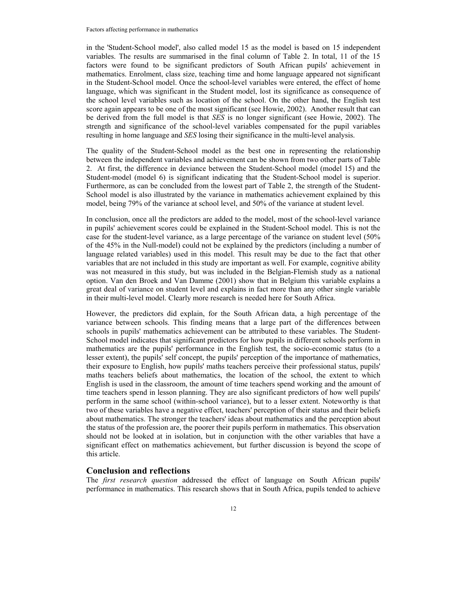in the 'Student-School model', also called model 15 as the model is based on 15 independent variables. The results are summarised in the final column of Table 2. In total, 11 of the 15 factors were found to be significant predictors of South African pupils' achievement in mathematics. Enrolment, class size, teaching time and home language appeared not significant in the Student-School model. Once the school-level variables were entered, the effect of home language, which was significant in the Student model, lost its significance as consequence of the school level variables such as location of the school. On the other hand, the English test score again appears to be one of the most significant (see Howie, 2002). Another result that can be derived from the full model is that *SES* is no longer significant (see Howie, 2002). The strength and significance of the school-level variables compensated for the pupil variables resulting in home language and *SES* losing their significance in the multi-level analysis.

The quality of the Student-School model as the best one in representing the relationship between the independent variables and achievement can be shown from two other parts of Table 2. At first, the difference in deviance between the Student-School model (model 15) and the Student-model (model 6) is significant indicating that the Student-School model is superior. Furthermore, as can be concluded from the lowest part of Table 2, the strength of the Student-School model is also illustrated by the variance in mathematics achievement explained by this model, being 79% of the variance at school level, and 50% of the variance at student level.

In conclusion, once all the predictors are added to the model, most of the school-level variance in pupils' achievement scores could be explained in the Student-School model. This is not the case for the student-level variance, as a large percentage of the variance on student level (50% of the 45% in the Null-model) could not be explained by the predictors (including a number of language related variables) used in this model. This result may be due to the fact that other variables that are not included in this study are important as well. For example, cognitive ability was not measured in this study, but was included in the Belgian-Flemish study as a national option. Van den Broek and Van Damme (2001) show that in Belgium this variable explains a great deal of variance on student level and explains in fact more than any other single variable in their multi-level model. Clearly more research is needed here for South Africa.

However, the predictors did explain, for the South African data, a high percentage of the variance between schools. This finding means that a large part of the differences between schools in pupils' mathematics achievement can be attributed to these variables. The Student-School model indicates that significant predictors for how pupils in different schools perform in mathematics are the pupils' performance in the English test, the socio-economic status (to a lesser extent), the pupils' self concept, the pupils' perception of the importance of mathematics, their exposure to English, how pupils' maths teachers perceive their professional status, pupils' maths teachers beliefs about mathematics, the location of the school, the extent to which English is used in the classroom, the amount of time teachers spend working and the amount of time teachers spend in lesson planning. They are also significant predictors of how well pupils' perform in the same school (within-school variance), but to a lesser extent. Noteworthy is that two of these variables have a negative effect, teachers' perception of their status and their beliefs about mathematics. The stronger the teachers' ideas about mathematics and the perception about the status of the profession are, the poorer their pupils perform in mathematics. This observation should not be looked at in isolation, but in conjunction with the other variables that have a significant effect on mathematics achievement, but further discussion is beyond the scope of this article.

### **Conclusion and reflections**

The *first research question* addressed the effect of language on South African pupils' performance in mathematics. This research shows that in South Africa, pupils tended to achieve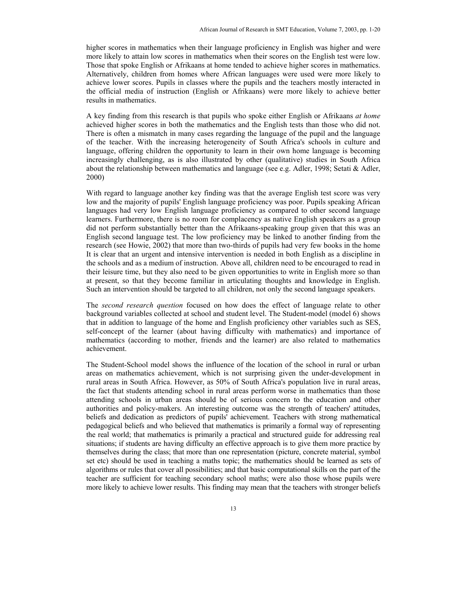higher scores in mathematics when their language proficiency in English was higher and were more likely to attain low scores in mathematics when their scores on the English test were low. Those that spoke English or Afrikaans at home tended to achieve higher scores in mathematics. Alternatively, children from homes where African languages were used were more likely to achieve lower scores. Pupils in classes where the pupils and the teachers mostly interacted in the official media of instruction (English or Afrikaans) were more likely to achieve better results in mathematics.

A key finding from this research is that pupils who spoke either English or Afrikaans *at home* achieved higher scores in both the mathematics and the English tests than those who did not. There is often a mismatch in many cases regarding the language of the pupil and the language of the teacher. With the increasing heterogeneity of South Africa's schools in culture and language, offering children the opportunity to learn in their own home language is becoming increasingly challenging, as is also illustrated by other (qualitative) studies in South Africa about the relationship between mathematics and language (see e.g. Adler, 1998; Setati & Adler, 2000)

With regard to language another key finding was that the average English test score was very low and the majority of pupils' English language proficiency was poor. Pupils speaking African languages had very low English language proficiency as compared to other second language learners. Furthermore, there is no room for complacency as native English speakers as a group did not perform substantially better than the Afrikaans-speaking group given that this was an English second language test. The low proficiency may be linked to another finding from the research (see Howie, 2002) that more than two-thirds of pupils had very few books in the home It is clear that an urgent and intensive intervention is needed in both English as a discipline in the schools and as a medium of instruction. Above all, children need to be encouraged to read in their leisure time, but they also need to be given opportunities to write in English more so than at present, so that they become familiar in articulating thoughts and knowledge in English. Such an intervention should be targeted to all children, not only the second language speakers.

The *second research question* focused on how does the effect of language relate to other background variables collected at school and student level. The Student-model (model 6) shows that in addition to language of the home and English proficiency other variables such as SES, self-concept of the learner (about having difficulty with mathematics) and importance of mathematics (according to mother, friends and the learner) are also related to mathematics achievement.

The Student-School model shows the influence of the location of the school in rural or urban areas on mathematics achievement, which is not surprising given the under-development in rural areas in South Africa. However, as 50% of South Africa's population live in rural areas, the fact that students attending school in rural areas perform worse in mathematics than those attending schools in urban areas should be of serious concern to the education and other authorities and policy-makers. An interesting outcome was the strength of teachers' attitudes, beliefs and dedication as predictors of pupils' achievement. Teachers with strong mathematical pedagogical beliefs and who believed that mathematics is primarily a formal way of representing the real world; that mathematics is primarily a practical and structured guide for addressing real situations; if students are having difficulty an effective approach is to give them more practice by themselves during the class; that more than one representation (picture, concrete material, symbol set etc) should be used in teaching a maths topic; the mathematics should be learned as sets of algorithms or rules that cover all possibilities; and that basic computational skills on the part of the teacher are sufficient for teaching secondary school maths; were also those whose pupils were more likely to achieve lower results. This finding may mean that the teachers with stronger beliefs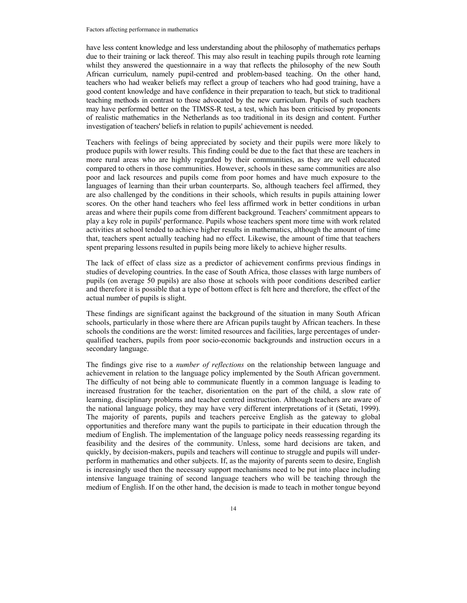have less content knowledge and less understanding about the philosophy of mathematics perhaps due to their training or lack thereof. This may also result in teaching pupils through rote learning whilst they answered the questionnaire in a way that reflects the philosophy of the new South African curriculum, namely pupil-centred and problem-based teaching. On the other hand, teachers who had weaker beliefs may reflect a group of teachers who had good training, have a good content knowledge and have confidence in their preparation to teach, but stick to traditional teaching methods in contrast to those advocated by the new curriculum. Pupils of such teachers may have performed better on the TIMSS-R test, a test, which has been criticised by proponents of realistic mathematics in the Netherlands as too traditional in its design and content. Further investigation of teachers' beliefs in relation to pupils' achievement is needed.

Teachers with feelings of being appreciated by society and their pupils were more likely to produce pupils with lower results. This finding could be due to the fact that these are teachers in more rural areas who are highly regarded by their communities, as they are well educated compared to others in those communities. However, schools in these same communities are also poor and lack resources and pupils come from poor homes and have much exposure to the languages of learning than their urban counterparts. So, although teachers feel affirmed, they are also challenged by the conditions in their schools, which results in pupils attaining lower scores. On the other hand teachers who feel less affirmed work in better conditions in urban areas and where their pupils come from different background. Teachers' commitment appears to play a key role in pupils' performance. Pupils whose teachers spent more time with work related activities at school tended to achieve higher results in mathematics, although the amount of time that, teachers spent actually teaching had no effect. Likewise, the amount of time that teachers spent preparing lessons resulted in pupils being more likely to achieve higher results.

The lack of effect of class size as a predictor of achievement confirms previous findings in studies of developing countries. In the case of South Africa, those classes with large numbers of pupils (on average 50 pupils) are also those at schools with poor conditions described earlier and therefore it is possible that a type of bottom effect is felt here and therefore, the effect of the actual number of pupils is slight.

These findings are significant against the background of the situation in many South African schools, particularly in those where there are African pupils taught by African teachers. In these schools the conditions are the worst: limited resources and facilities, large percentages of underqualified teachers, pupils from poor socio-economic backgrounds and instruction occurs in a secondary language.

The findings give rise to a *number of reflections* on the relationship between language and achievement in relation to the language policy implemented by the South African government. The difficulty of not being able to communicate fluently in a common language is leading to increased frustration for the teacher, disorientation on the part of the child, a slow rate of learning, disciplinary problems and teacher centred instruction. Although teachers are aware of the national language policy, they may have very different interpretations of it (Setati, 1999). The majority of parents, pupils and teachers perceive English as the gateway to global opportunities and therefore many want the pupils to participate in their education through the medium of English. The implementation of the language policy needs reassessing regarding its feasibility and the desires of the community. Unless, some hard decisions are taken, and quickly, by decision-makers, pupils and teachers will continue to struggle and pupils will underperform in mathematics and other subjects. If, as the majority of parents seem to desire, English is increasingly used then the necessary support mechanisms need to be put into place including intensive language training of second language teachers who will be teaching through the medium of English. If on the other hand, the decision is made to teach in mother tongue beyond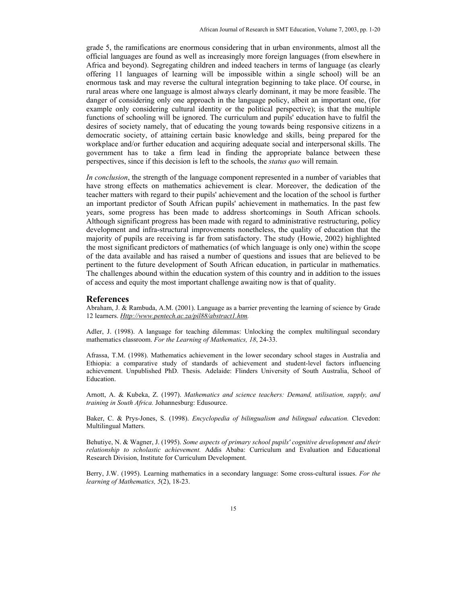grade 5, the ramifications are enormous considering that in urban environments, almost all the official languages are found as well as increasingly more foreign languages (from elsewhere in Africa and beyond). Segregating children and indeed teachers in terms of language (as clearly offering 11 languages of learning will be impossible within a single school) will be an enormous task and may reverse the cultural integration beginning to take place. Of course, in rural areas where one language is almost always clearly dominant, it may be more feasible. The danger of considering only one approach in the language policy, albeit an important one, (for example only considering cultural identity or the political perspective); is that the multiple functions of schooling will be ignored. The curriculum and pupils' education have to fulfil the desires of society namely, that of educating the young towards being responsive citizens in a democratic society, of attaining certain basic knowledge and skills, being prepared for the workplace and/or further education and acquiring adequate social and interpersonal skills. The government has to take a firm lead in finding the appropriate balance between these perspectives, since if this decision is left to the schools, the *status quo* will remain*.* 

*In conclusion*, the strength of the language component represented in a number of variables that have strong effects on mathematics achievement is clear. Moreover, the dedication of the teacher matters with regard to their pupils' achievement and the location of the school is further an important predictor of South African pupils' achievement in mathematics. In the past few years, some progress has been made to address shortcomings in South African schools. Although significant progress has been made with regard to administrative restructuring, policy development and infra-structural improvements nonetheless, the quality of education that the majority of pupils are receiving is far from satisfactory. The study (Howie, 2002) highlighted the most significant predictors of mathematics (of which language is only one) within the scope of the data available and has raised a number of questions and issues that are believed to be pertinent to the future development of South African education, in particular in mathematics. The challenges abound within the education system of this country and in addition to the issues of access and equity the most important challenge awaiting now is that of quality.

#### **References**

Abraham, J. & Rambuda, A.M. (2001). Language as a barrier preventing the learning of science by Grade 12 learners. *Http://www.pentech.ac.za/pil88/abstract1.htm.* 

Adler, J. (1998). A language for teaching dilemmas: Unlocking the complex multilingual secondary mathematics classroom. *For the Learning of Mathematics, 18*, 24-33.

Afrassa, T.M. (1998). Mathematics achievement in the lower secondary school stages in Australia and Ethiopia: a comparative study of standards of achievement and student-level factors influencing achievement. Unpublished PhD. Thesis. Adelaide: Flinders University of South Australia, School of Education.

Arnott, A. & Kubeka, Z. (1997). *Mathematics and science teachers: Demand, utilisation, supply, and training in South Africa.* Johannesburg: Edusource.

Baker, C. & Prys-Jones, S. (1998). *Encyclopedia of bilingualism and bilingual education.* Clevedon: Multilingual Matters.

Behutiye, N. & Wagner, J. (1995). *Some aspects of primary school pupils' cognitive development and their relationship to scholastic achievement.* Addis Ababa: Curriculum and Evaluation and Educational Research Division, Institute for Curriculum Development.

Berry, J.W. (1995). Learning mathematics in a secondary language: Some cross-cultural issues. *For the learning of Mathematics, 5*(2), 18-23.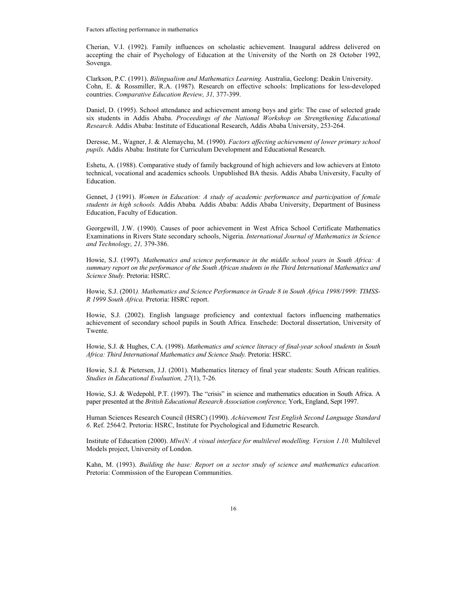Factors affecting performance in mathematics

Cherian, V.I. (1992). Family influences on scholastic achievement. Inaugural address delivered on accepting the chair of Psychology of Education at the University of the North on 28 October 1992, Sovenga.

Clarkson, P.C. (1991). *Bilingualism and Mathematics Learning.* Australia, Geelong: Deakin University. Cohn, E. & Rossmiller, R.A. (1987). Research on effective schools: Implications for less-developed countries. *Comparative Education Review, 31,* 377-399.

Daniel, D. (1995). School attendance and achievement among boys and girls: The case of selected grade six students in Addis Ababa. *Proceedings of the National Workshop on Strengthening Educational Research.* Addis Ababa: Institute of Educational Research, Addis Ababa University, 253-264.

Deresse, M., Wagner, J. & Alemaychu, M. (1990). *Factors affecting achievement of lower primary school pupils.* Addis Ababa: Institute for Curriculum Development and Educational Research.

Eshetu, A. (1988). Comparative study of family background of high achievers and low achievers at Entoto technical, vocational and academics schools*.* Unpublished BA thesis. Addis Ababa University, Faculty of Education.

Gennet, J (1991). *Women in Education: A study of academic performance and participation of female students in high schools.* Addis Ababa*.* Addis Ababa: Addis Ababa University, Department of Business Education, Faculty of Education.

Georgewill, J.W. (1990). Causes of poor achievement in West Africa School Certificate Mathematics Examinations in Rivers State secondary schools, Nigeria. *International Journal of Mathematics in Science and Technology, 21,* 379-386.

Howie, S.J. (1997). *Mathematics and science performance in the middle school years in South Africa: A summary report on the performance of the South African students in the Third International Mathematics and Science Study.* Pretoria: HSRC.

Howie, S.J. (2001*). Mathematics and Science Performance in Grade 8 in South Africa 1998/1999: TIMSS-R 1999 South Africa.* Pretoria: HSRC report.

Howie, S.J. (2002). English language proficiency and contextual factors influencing mathematics achievement of secondary school pupils in South Africa*.* Enschede: Doctoral dissertation, University of Twente.

Howie, S.J. & Hughes, C.A. (1998). *Mathematics and science literacy of final-year school students in South Africa: Third International Mathematics and Science Study.* Pretoria: HSRC.

Howie, S.J. & Pietersen, J.J. (2001). Mathematics literacy of final year students: South African realities. *Studies in Educational Evaluation, 27*(1), 7-26*.* 

Howie, S.J. & Wedepohl, P.T. (1997). The "crisis" in science and mathematics education in South Africa. A paper presented at the *British Educational Research Association conference,* York, England, Sept 1997.

Human Sciences Research Council (HSRC) (1990). *Achievement Test English Second Language Standard 6*. Ref. 2564/2. Pretoria: HSRC, Institute for Psychological and Edumetric Research.

Institute of Education (2000). *MlwiN: A visual interface for multilevel modelling. Version 1.10*. Multilevel Models project, University of London.

Kahn, M. (1993). *Building the base: Report on a sector study of science and mathematics education.* Pretoria: Commission of the European Communities.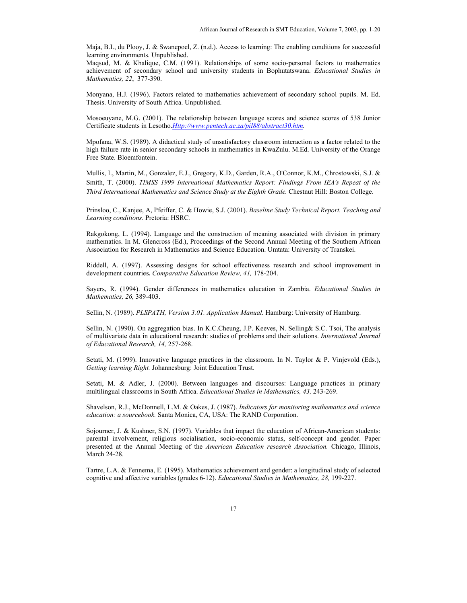Maja, B.I., du Plooy, J. & Swanepoel, Z. (n.d.). Access to learning: The enabling conditions for successful learning environments*.* Unpublished.

Maqsud, M. & Khalique, C.M. (1991). Relationships of some socio-personal factors to mathematics achievement of secondary school and university students in Bophutatswana. *Educational Studies in Mathematics, 22*, 377-390.

Monyana, H.J. (1996). Factors related to mathematics achievement of secondary school pupils. M. Ed. Thesis. University of South Africa. Unpublished.

Mosoeuyane, M.G. (2001). The relationship between language scores and science scores of 538 Junior Certificate students in Lesotho.*Http://www.pentech.ac.za/pil88/abstract30.htm.* 

Mpofana, W.S. (1989). A didactical study of unsatisfactory classroom interaction as a factor related to the high failure rate in senior secondary schools in mathematics in KwaZulu. M.Ed. University of the Orange Free State. Bloemfontein.

Mullis, I., Martin, M., Gonzalez, E.J., Gregory, K.D., Garden, R.A., O'Connor, K.M., Chrostowski, S.J. & Smith, T. (2000). *TIMSS 1999 International Mathematics Report: Findings From IEA's Repeat of the Third International Mathematics and Science Study at the Eighth Grade.* Chestnut Hill: Boston College.

Prinsloo, C., Kanjee, A, Pfeiffer, C. & Howie, S.J. (2001). *Baseline Study Technical Report. Teaching and Learning conditions.* Pretoria: HSRC*.* 

Rakgokong, L. (1994). Language and the construction of meaning associated with division in primary mathematics. In M. Glencross (Ed.), Proceedings of the Second Annual Meeting of the Southern African Association for Research in Mathematics and Science Education. Umtata: University of Transkei.

Riddell, A. (1997). Assessing designs for school effectiveness research and school improvement in development countries*. Comparative Education Review, 41,* 178-204.

Sayers, R. (1994). Gender differences in mathematics education in Zambia. *Educational Studies in Mathematics, 26,* 389-403.

Sellin, N. (1989). *PLSPATH, Version 3.01. Application Manual.* Hamburg: University of Hamburg.

Sellin, N. (1990). On aggregation bias. In K.C.Cheung, J.P. Keeves, N. Selling& S.C. Tsoi, The analysis of multivariate data in educational research: studies of problems and their solutions. *International Journal of Educational Research, 14,* 257-268.

Setati, M. (1999). Innovative language practices in the classroom. In N. Taylor & P. Vinjevold (Eds.), *Getting learning Right.* Johannesburg: Joint Education Trust.

Setati, M. & Adler, J. (2000). Between languages and discourses: Language practices in primary multilingual classrooms in South Africa. *Educational Studies in Mathematics, 43,* 243-269.

Shavelson, R.J., McDonnell, L.M. & Oakes, J. (1987). *Indicators for monitoring mathematics and science education: a sourcebook.* Santa Monica, CA, USA: The RAND Corporation.

Sojourner, J. & Kushner, S.N. (1997). Variables that impact the education of African-American students: parental involvement, religious socialisation, socio-economic status, self-concept and gender. Paper presented at the Annual Meeting of the *American Education research Association.* Chicago, Illinois, March 24-28.

Tartre, L.A. & Fennema, E. (1995). Mathematics achievement and gender: a longitudinal study of selected cognitive and affective variables (grades 6-12). *Educational Studies in Mathematics, 28,* 199-227.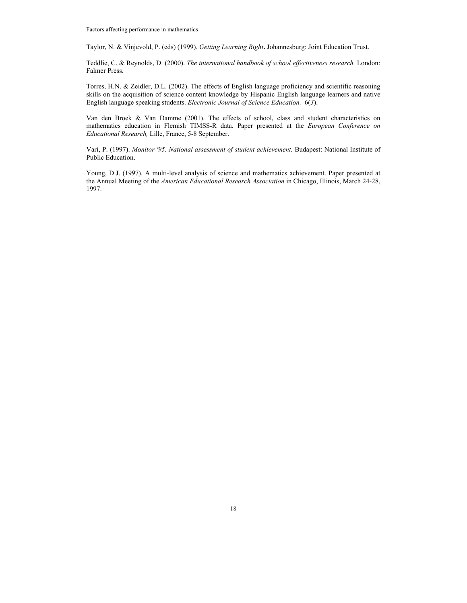Factors affecting performance in mathematics

Taylor, N. & Vinjevold, P. (eds) (1999). *Getting Learning Right***.** Johannesburg: Joint Education Trust.

Teddlie, C. & Reynolds, D. (2000). *The international handbook of school effectiveness research.* London: Falmer Press.

Torres, H.N. & Zeidler, D.L. (2002). The effects of English language proficiency and scientific reasoning skills on the acquisition of science content knowledge by Hispanic English language learners and native English language speaking students. *Electronic Journal of Science Education,* 6(*3*).

Van den Broek & Van Damme (2001). The effects of school, class and student characteristics on mathematics education in Flemish TIMSS-R data. Paper presented at the *European Conference on Educational Research,* Lille, France, 5-8 September.

Vari, P. (1997). *Monitor '95. National assessment of student achievement.* Budapest: National Institute of Public Education.

Young, D.J. (1997). A multi-level analysis of science and mathematics achievement. Paper presented at the Annual Meeting of the *American Educational Research Association* in Chicago, Illinois, March 24-28, 1997.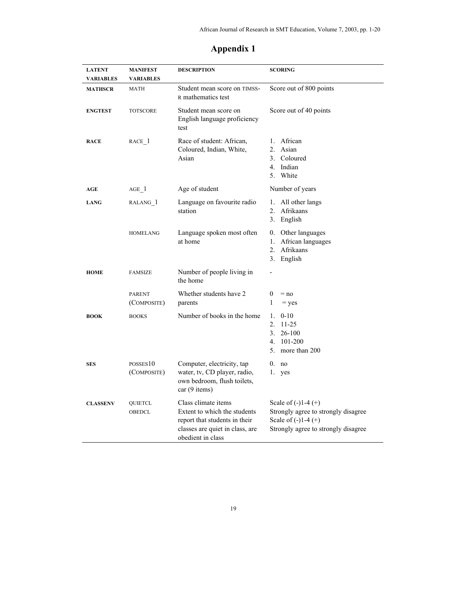| <b>LATENT</b><br><b>VARIABLES</b> | <b>MANIFEST</b><br><b>VARIABLES</b> | <b>DESCRIPTION</b>                                                                                                                           | <b>SCORING</b>                                                                                                               |  |  |  |
|-----------------------------------|-------------------------------------|----------------------------------------------------------------------------------------------------------------------------------------------|------------------------------------------------------------------------------------------------------------------------------|--|--|--|
| <b>MATHSCR</b>                    | <b>MATH</b>                         | Student mean score on TIMSS-<br>R mathematics test                                                                                           | Score out of 800 points                                                                                                      |  |  |  |
| <b>ENGTEST</b>                    | <b>TOTSCORE</b>                     | Student mean score on<br>English language proficiency<br>test                                                                                | Score out of 40 points                                                                                                       |  |  |  |
| <b>RACE</b>                       | RACE 1                              | Race of student: African,<br>Coloured, Indian, White,<br>Asian                                                                               | 1. African<br>Asian<br>2 <sup>1</sup><br>3. Coloured<br>4. Indian<br>5. White                                                |  |  |  |
| AGE                               | AGE 1                               | Age of student                                                                                                                               | Number of years                                                                                                              |  |  |  |
| <b>LANG</b>                       | RALANG 1                            | Language on favourite radio<br>station                                                                                                       | 1. All other langs<br>Afrikaans<br>$2_{-}$<br>3. English                                                                     |  |  |  |
|                                   | <b>HOMELANG</b>                     | Language spoken most often<br>at home                                                                                                        | 0. Other languages<br>African languages<br>1.<br>2. Afrikaans<br>3. English                                                  |  |  |  |
| <b>HOME</b>                       | <b>FAMSIZE</b>                      | Number of people living in<br>the home                                                                                                       |                                                                                                                              |  |  |  |
|                                   | <b>PARENT</b><br>(COMPOSITE)        | Whether students have 2<br>parents                                                                                                           | $\mathbf{0}$<br>$= no$<br>1<br>$=$ yes                                                                                       |  |  |  |
| <b>BOOK</b>                       | <b>BOOKS</b>                        | Number of books in the home                                                                                                                  | $0 - 10$<br>1.<br>2. 11-25<br>$3. \quad 26-100$<br>4. 101-200<br>more than 200<br>5.                                         |  |  |  |
| <b>SES</b>                        | POSSES10<br>(COMPOSITE)             | Computer, electricity, tap<br>water, tv, CD player, radio,<br>own bedroom, flush toilets,<br>car (9 items)                                   | $0.$ no<br>1. yes                                                                                                            |  |  |  |
| <b>CLASSENV</b>                   | <b>OUIETCL</b><br>OBEDCL            | Class climate items<br>Extent to which the students<br>report that students in their<br>classes are quiet in class, are<br>obedient in class | Scale of $(-)1-4 (+)$<br>Strongly agree to strongly disagree<br>Scale of $(-)1-4 (+)$<br>Strongly agree to strongly disagree |  |  |  |

# **Appendix 1**